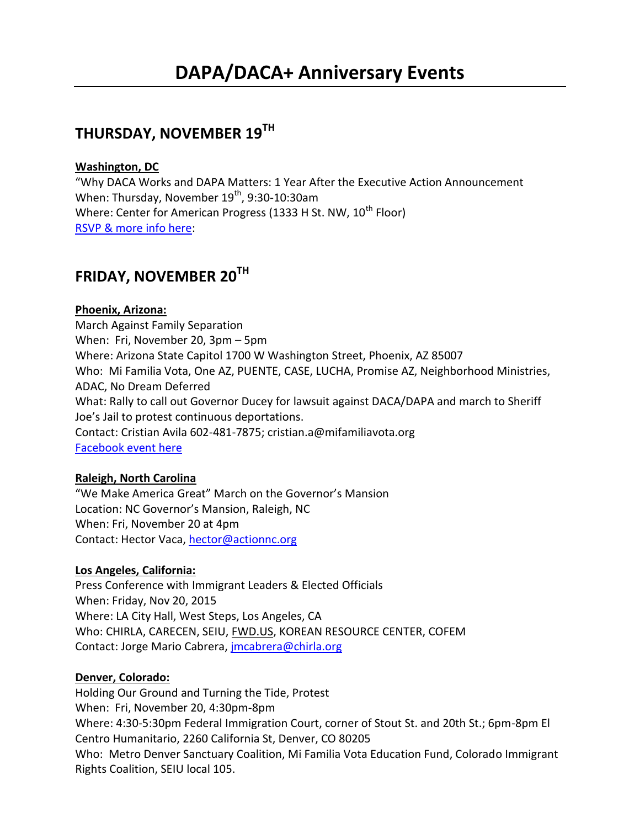## **THURSDAY, NOVEMBER 19TH**

### **Washington, DC**

"Why DACA Works and DAPA Matters: 1 Year After the Executive Action Announcement When: Thursday, November 19<sup>th</sup>, 9:30-10:30am Where: Center for American Progress (1333 H St. NW, 10<sup>th</sup> Floor) [RSVP & more info here:](https://www.americanprogressaction.org/events/2015/11/05/125108/why-daca-works-and-dapa-matters-one-year-after-the-presidents-executive-action-announcement/)

## **FRIDAY, NOVEMBER 20TH**

## **Phoenix, Arizona:**

March Against Family Separation When: Fri, November 20, 3pm – 5pm Where: Arizona State Capitol 1700 W Washington Street, Phoenix, AZ 85007 Who: Mi Familia Vota, One AZ, PUENTE, CASE, LUCHA, Promise AZ, Neighborhood Ministries, ADAC, No Dream Deferred What: Rally to call out Governor Ducey for lawsuit against DACA/DAPA and march to Sheriff Joe's Jail to protest continuous deportations. Contact: Cristian Avila 602-481-7875; [cristian.a@mifamiliavota.org](mailto:cristian.a@mifamiliavota.org) [Facebook event here](https://www.facebook.com/events/525708890920270/)

### **Raleigh, North Carolina**

"We Make America Great" March on the Governor's Mansion Location: NC Governor's Mansion, Raleigh, NC When: Fri, November 20 at 4pm Contact: Hector Vaca[, hector@actionnc.org](mailto:hector@actionnc.org)

### **Los Angeles, California:**

Press Conference with Immigrant Leaders & Elected Officials When: Friday, Nov 20, 2015 Where: LA City Hall, West Steps, Los Angeles, CA Who: CHIRLA, CARECEN, SEIU, [FWD.US,](http://fwd.us/) KOREAN RESOURCE CENTER, COFEM Contact: Jorge Mario Cabrera, *imcabrera@chirla.org* 

### **Denver, Colorado:**

Holding Our Ground and Turning the Tide, Protest When: Fri, November 20, 4:30pm-8pm Where: 4:30-5:30pm Federal Immigration Court, corner of Stout St. and 20th St.; 6pm-8pm El Centro Humanitario, 2260 California St, Denver, CO 80205 Who: Metro Denver Sanctuary Coalition, Mi Familia Vota Education Fund, Colorado Immigrant Rights Coalition, SEIU local 105.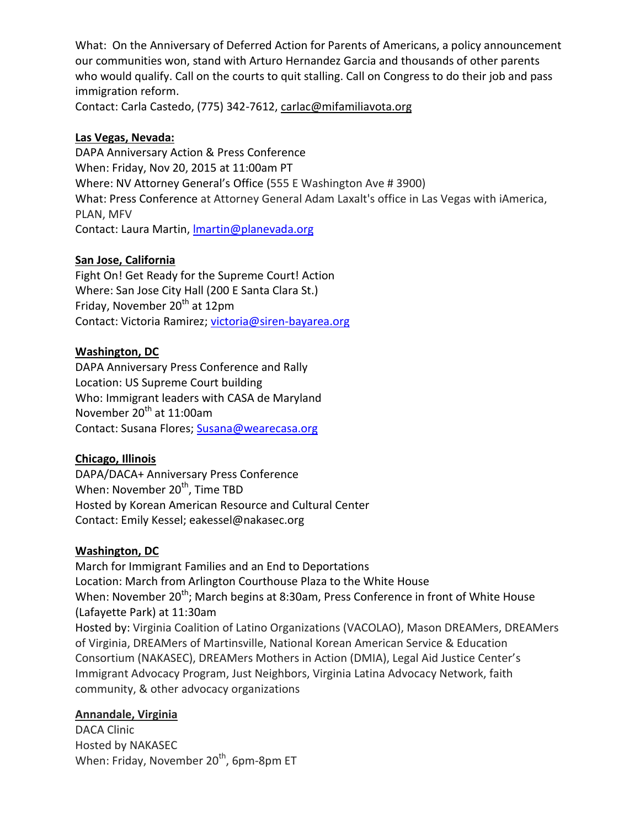What: On the Anniversary of Deferred Action for Parents of Americans, a policy announcement our communities won, stand with Arturo Hernandez Garcia and thousands of other parents who would qualify. Call on the courts to quit stalling. Call on Congress to do their job and pass immigration reform.

Contact: Carla Castedo, (775) 342-7612[, carlac@mifamiliavota.org](mailto:carlac@mifamiliavota.org)

## **Las Vegas, Nevada:**

DAPA Anniversary Action & Press Conference When: Friday, Nov 20, 2015 at 11:00am PT Where: NV Attorney General's Office (555 E Washington Ave # 3900) What: Press Conference at Attorney General Adam Laxalt's office in Las Vegas with iAmerica, PLAN, MFV Contact: Laura Martin, *Imartin@planevada.org* 

## **San Jose, California**

Fight On! Get Ready for the Supreme Court! Action Where: San Jose City Hall (200 E Santa Clara St.) Friday, November 20<sup>th</sup> at 12pm Contact: Victoria Ramirez; [victoria@siren-bayarea.org](mailto:victoria@siren-bayarea.org)

## **Washington, DC**

DAPA Anniversary Press Conference and Rally Location: US Supreme Court building Who: Immigrant leaders with CASA de Maryland November 20<sup>th</sup> at 11:00am Contact: Susana Flores; [Susana@wearecasa.org](mailto:Susana@wearecasa.org)

## **Chicago, Illinois**

DAPA/DACA+ Anniversary Press Conference When: November 20<sup>th</sup>, Time TBD Hosted by Korean American Resource and Cultural Center Contact: Emily Kessel; eakessel@nakasec.org

## **Washington, DC**

March for Immigrant Families and an End to Deportations Location: March from Arlington Courthouse Plaza to the White House When: November 20<sup>th</sup>; March begins at 8:30am, Press Conference in front of White House (Lafayette Park) at 11:30am Hosted by: Virginia Coalition of Latino Organizations (VACOLAO), Mason DREAMers, DREAMers of Virginia, DREAMers of Martinsville, National Korean American Service & Education Consortium (NAKASEC), DREAMers Mothers in Action (DMIA), Legal Aid Justice Center's Immigrant Advocacy Program, Just Neighbors, Virginia Latina Advocacy Network, faith community, & other advocacy organizations

### **Annandale, Virginia**

DACA Clinic Hosted by NAKASEC When: Friday, November 20<sup>th</sup>, 6pm-8pm ET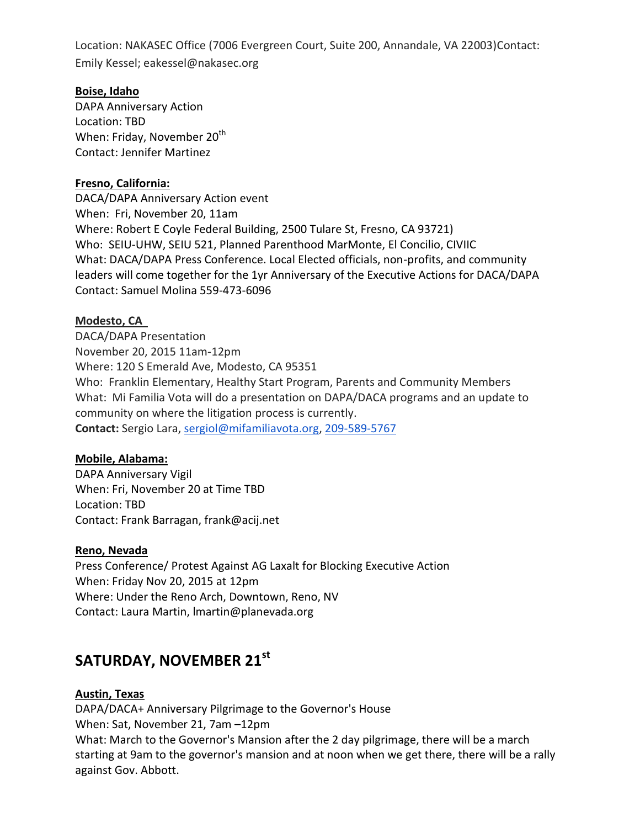Location: NAKASEC Office (7006 Evergreen Court, Suite 200, Annandale, VA 22003)Contact: Emily Kessel; eakessel@nakasec.org

### **Boise, Idaho**

DAPA Anniversary Action Location: TBD When: Friday, November 20<sup>th</sup> Contact: Jennifer Martinez

### **Fresno, California:**

DACA/DAPA Anniversary Action event When: Fri, November 20, 11am Where: Robert E Coyle Federal Building, 2500 Tulare St, Fresno, CA 93721) Who: SEIU-UHW, SEIU 521, Planned Parenthood MarMonte, El Concilio, CIVIIC What: DACA/DAPA Press Conference. Local Elected officials, non-profits, and community leaders will come together for the 1yr Anniversary of the Executive Actions for DACA/DAPA Contact: Samuel Molina 559-473-6096

### **Modesto, CA**

DACA/DAPA Presentation November 20, 2015 11am-12pm Where: 120 S Emerald Ave, Modesto, CA 95351 Who: Franklin Elementary, Healthy Start Program, Parents and Community Members What: Mi Familia Vota will do a presentation on DAPA/DACA programs and an update to community on where the litigation process is currently. **Contact:** Sergio Lara, [sergiol@mifamiliavota.org,](mailto:sergiol@mifamiliavota.org) [209-589-5767](tel:209-589-5767)

### **Mobile, Alabama:**

DAPA Anniversary Vigil When: Fri, November 20 at Time TBD Location: TBD Contact: Frank Barragan, frank@acij.net

### **Reno, Nevada**

Press Conference/ Protest Against AG Laxalt for Blocking Executive Action When: Friday Nov 20, 2015 at 12pm Where: Under the Reno Arch, Downtown, Reno, NV Contact: Laura Martin, lmartin@planevada.org

## **SATURDAY, NOVEMBER 21st**

### **Austin, Texas**

DAPA/DACA+ Anniversary Pilgrimage to the Governor's House When: Sat, November 21, 7am –12pm What: March to the Governor's Mansion after the 2 day pilgrimage, there will be a march starting at 9am to the governor's mansion and at noon when we get there, there will be a rally against Gov. Abbott.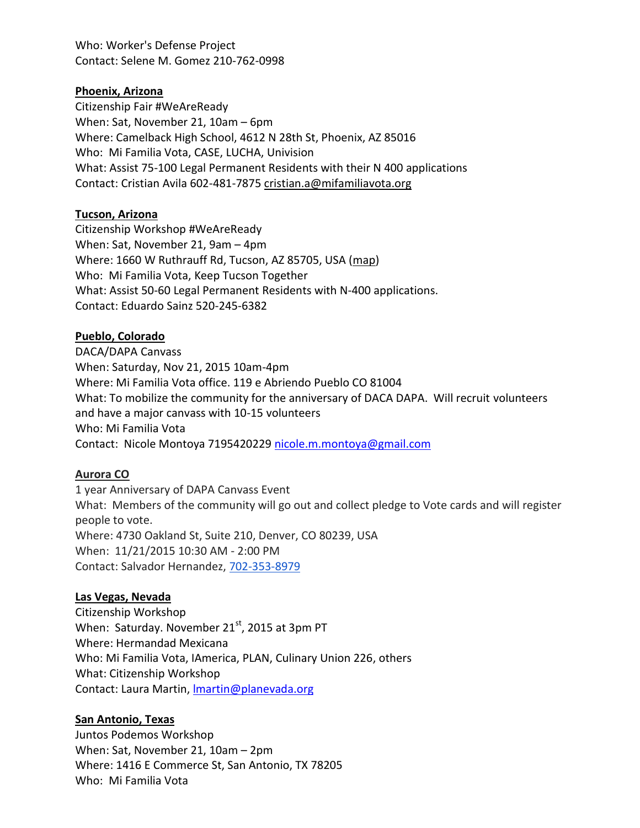Who: Worker's Defense Project Contact: Selene M. Gomez 210-762-0998

### **Phoenix, Arizona**

Citizenship Fair #WeAreReady When: Sat, November 21, 10am – 6pm Where: Camelback High School, 4612 N 28th St, Phoenix, AZ 85016 Who: Mi Familia Vota, CASE, LUCHA, Univision What: Assist 75-100 Legal Permanent Residents with their N 400 applications Contact: Cristian Avila 602-481-787[5 cristian.a@mifamiliavota.org](mailto:cristian.a@mifamiliavota.org)

#### **Tucson, Arizona**

Citizenship Workshop #WeAreReady When: Sat, November 21, 9am – 4pm Where: 1660 W Ruthrauff Rd, Tucson, AZ 85705, USA [\(map\)](https://maps.google.com/maps?hl=en&q=1660%20W%20Ruthrauff%20Rd%2C%20Tucson%2C%20AZ%2085705%2C%20USA) Who: Mi Familia Vota, Keep Tucson Together What: Assist 50-60 Legal Permanent Residents with N-400 applications. Contact: Eduardo Sainz 520-245-6382

### **Pueblo, Colorado**

DACA/DAPA Canvass When: Saturday, Nov 21, 2015 10am-4pm Where: Mi Familia Vota office. 119 e Abriendo Pueblo CO 81004 What: To mobilize the community for the anniversary of DACA DAPA. Will recruit volunteers and have a major canvass with 10-15 volunteers Who: Mi Familia Vota Contact: Nicole Montoya 7195420229 [nicole.m.montoya@gmail.com](mailto:nicole.m.montoya@gmail.com)

### **Aurora CO**

1 year Anniversary of DAPA Canvass Event What: Members of the community will go out and collect pledge to Vote cards and will register people to vote. Where: 4730 Oakland St, Suite 210, Denver, CO 80239, USA When: 11/21/2015 10:30 AM - 2:00 PM Contact: Salvador Hernandez, [702-353-8979](tel:702-353-8979)

### **Las Vegas, Nevada**

Citizenship Workshop When: Saturday. November 21<sup>st</sup>, 2015 at 3pm PT Where: Hermandad Mexicana Who: Mi Familia Vota, IAmerica, PLAN, Culinary Union 226, others What: Citizenship Workshop Contact: Laura Martin, *Imartin@planevada.org* 

### **San Antonio, Texas**

Juntos Podemos Workshop When: Sat, November 21, 10am – 2pm Where: 1416 E Commerce St, San Antonio, TX 78205 Who: Mi Familia Vota